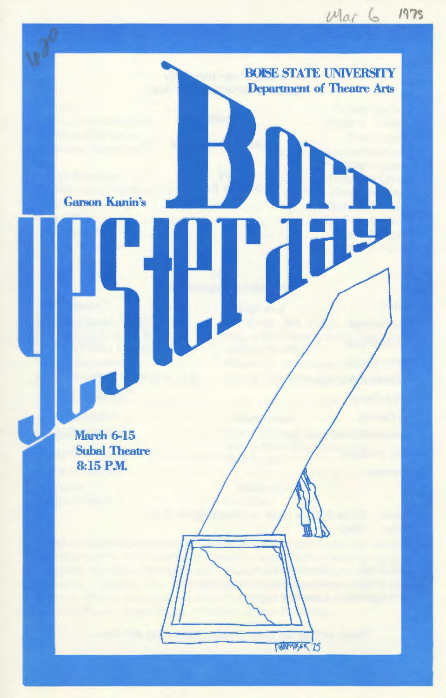**BOISE STATE UNIVERSITY Department of Theatre Arts** 

**TUNNAGER '25** 

Garson Kanin's

**March 6-15** Suhal Theatre 8:15PM.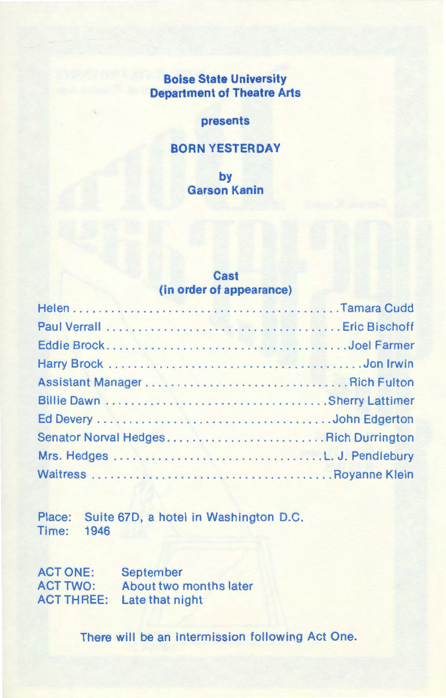# **Boise State University Department of Theatre Arts**

#### **presents**

### **BORN YESTERDAY**

**by Garson Kanin** 

## **Cast (in order of appearance)**

| Senator Norval HedgesRich Durrington |  |
|--------------------------------------|--|
|                                      |  |
|                                      |  |

Place: Suite 67D, a hotel in Washington D.C. Time: 1946

ACT ONE: ACT TWO: About two months later ACT THREE: Late that night September

There will be an intermission following Act One.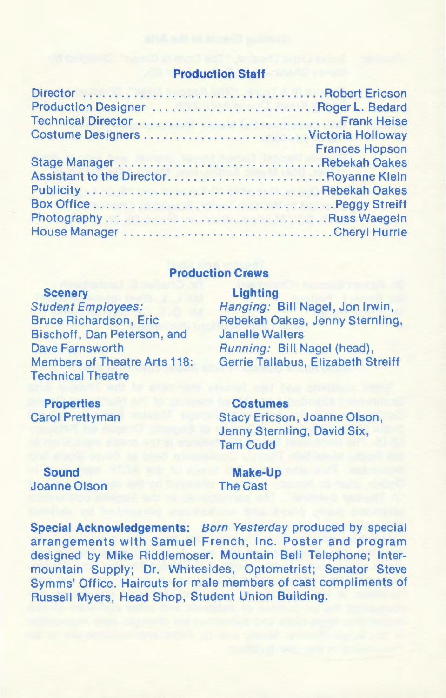### **Production Staff**

| Production Designer Roger L. Bedard     |                       |
|-----------------------------------------|-----------------------|
|                                         |                       |
| Costume Designers Victoria Holloway     |                       |
|                                         | <b>Frances Hopson</b> |
|                                         |                       |
| Assistant to the Director Royanne Klein |                       |
|                                         |                       |
|                                         |                       |
|                                         |                       |
|                                         |                       |
|                                         |                       |

### **Production Crews**

## **Scenery**  Student Employees: **Bruce Richardson, Eric** Bischoff, Dan Peterson, and Dave Farnsworth Members of Theatre Arts 118: Technical Theatre

## Hanging: Bill Nagel, Jon Irwin, Rebekah Oakes, Jenny Sternling, Janelle Walters Running: Bill Nagel (head), Gerrie Tallabus, Elizabeth Streiff

## **Properties**  Carol Prettyman

#### **Costumes**

**Lighting** 

Stacy Ericson, Joanne Olson, Jenny Sternling, David Six, Tam Cudd

**Sound**  Joanne Olson

**Make-Up**  The Cast

**Special Acknowledgements:** Born Yesterday produced by special arrangements with Samuel French, Inc. Poster and program designed by Mike Riddlemoser. Mountain Bell Telephone; Intermountain Supply; Dr. Whitesides, Optometrist; Senator Steve Symms' Office. Haircuts for male members of cast compliments of Russell Myers, Head Shop, Student Union Building.